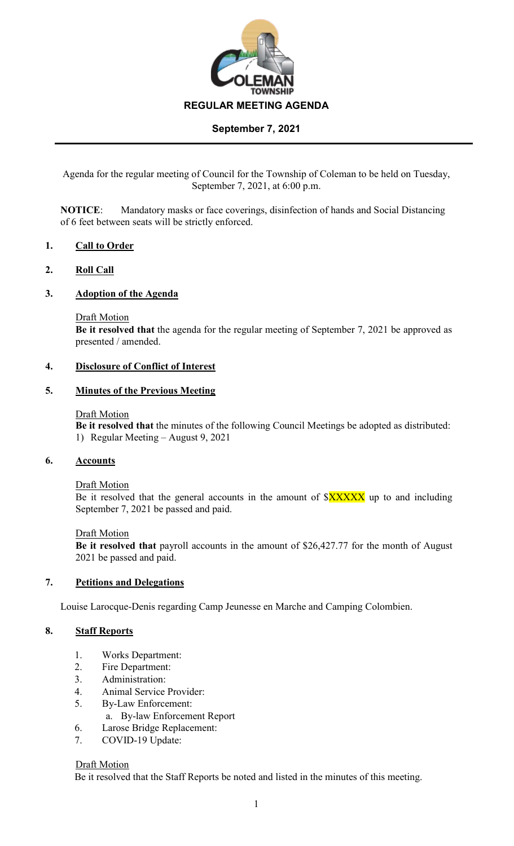

Agenda for the regular meeting of Council for the Township of Coleman to be held on Tuesday, September 7, 2021, at 6:00 p.m.

**NOTICE**: Mandatory masks or face coverings, disinfection of hands and Social Distancing of 6 feet between seats will be strictly enforced.

## **1. Call to Order**

## **2. Roll Call**

### **3. Adoption of the Agenda**

Draft Motion

**Be it resolved that** the agenda for the regular meeting of September 7, 2021 be approved as presented / amended.

### **4. Disclosure of Conflict of Interest**

### **5. Minutes of the Previous Meeting**

#### Draft Motion

**Be it resolved that** the minutes of the following Council Meetings be adopted as distributed: 1) Regular Meeting – August 9, 2021

### **6. Accounts**

#### Draft Motion

Be it resolved that the general accounts in the amount of  $XXXXX$  up to and including September 7, 2021 be passed and paid.

#### Draft Motion

**Be it resolved that** payroll accounts in the amount of \$26,427.77 for the month of August 2021 be passed and paid.

### **7. Petitions and Delegations**

Louise Larocque-Denis regarding Camp Jeunesse en Marche and Camping Colombien.

## **8. Staff Reports**

- 1. Works Department:
- 2. Fire Department:
- 3. Administration:
- 4. Animal Service Provider:
- 5. By-Law Enforcement:
	- a. By-law Enforcement Report
- 6. Larose Bridge Replacement:
- 7. COVID-19 Update:

#### Draft Motion

Be it resolved that the Staff Reports be noted and listed in the minutes of this meeting.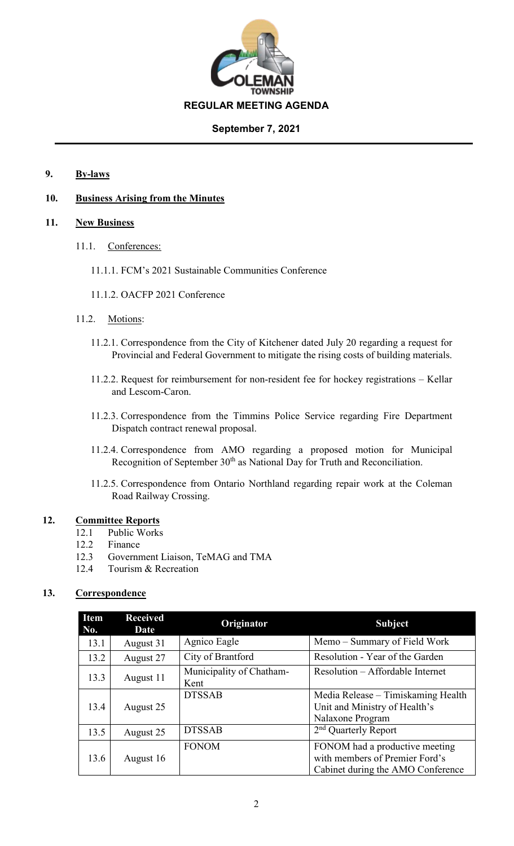

## **9. By-laws**

## **10. Business Arising from the Minutes**

## **11. New Business**

- 11.1. Conferences:
	- 11.1.1. FCM's 2021 Sustainable Communities Conference
	- 11.1.2. OACFP 2021 Conference
- 11.2. Motions:
	- 11.2.1. Correspondence from the City of Kitchener dated July 20 regarding a request for Provincial and Federal Government to mitigate the rising costs of building materials.
	- 11.2.2. Request for reimbursement for non-resident fee for hockey registrations Kellar and Lescom-Caron.
	- 11.2.3. Correspondence from the Timmins Police Service regarding Fire Department Dispatch contract renewal proposal.
	- 11.2.4. Correspondence from AMO regarding a proposed motion for Municipal Recognition of September  $30<sup>th</sup>$  as National Day for Truth and Reconciliation.
	- 11.2.5. Correspondence from Ontario Northland regarding repair work at the Coleman Road Railway Crossing.

## **12. Committee Reports**

- 12.1 Public Works
- 12.2 Finance
- 12.3 Government Liaison, TeMAG and TMA
- 12.4 Tourism & Recreation

# **13. Correspondence**

| Item<br>No. | <b>Received</b><br>Date | Originator                       | <b>Subject</b>                                                                                        |
|-------------|-------------------------|----------------------------------|-------------------------------------------------------------------------------------------------------|
| 13.1        | August 31               | Agnico Eagle                     | Memo - Summary of Field Work                                                                          |
| 13.2        | August 27               | City of Brantford                | Resolution - Year of the Garden                                                                       |
| 13.3        | August 11               | Municipality of Chatham-<br>Kent | Resolution – Affordable Internet                                                                      |
| 13.4        | August 25               | <b>DTSSAB</b>                    | Media Release – Timiskaming Health<br>Unit and Ministry of Health's<br>Nalaxone Program               |
| 13.5        | August 25               | <b>DTSSAB</b>                    | 2 <sup>nd</sup> Quarterly Report                                                                      |
| 13.6        | August 16               | <b>FONOM</b>                     | FONOM had a productive meeting<br>with members of Premier Ford's<br>Cabinet during the AMO Conference |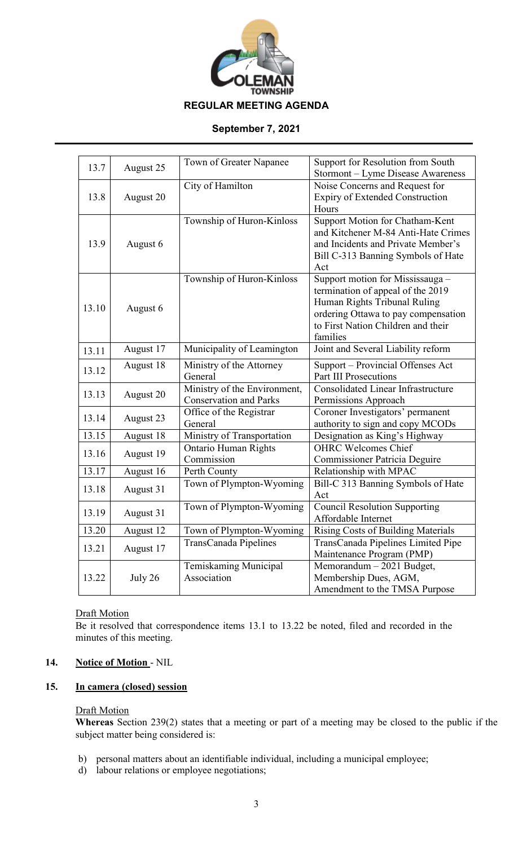

|       |           | Town of Greater Napanee       | Support for Resolution from South                                     |
|-------|-----------|-------------------------------|-----------------------------------------------------------------------|
| 13.7  | August 25 |                               | Stormont – Lyme Disease Awareness                                     |
|       |           | City of Hamilton              | Noise Concerns and Request for                                        |
| 13.8  | August 20 |                               | <b>Expiry of Extended Construction</b>                                |
|       |           |                               | Hours                                                                 |
|       |           | Township of Huron-Kinloss     | Support Motion for Chatham-Kent                                       |
|       |           |                               | and Kitchener M-84 Anti-Hate Crimes                                   |
| 13.9  | August 6  |                               | and Incidents and Private Member's                                    |
|       |           |                               | Bill C-313 Banning Symbols of Hate                                    |
|       |           |                               | Act                                                                   |
|       |           | Township of Huron-Kinloss     | Support motion for Mississauga -<br>termination of appeal of the 2019 |
|       |           |                               | Human Rights Tribunal Ruling                                          |
| 13.10 | August 6  |                               | ordering Ottawa to pay compensation                                   |
|       |           |                               | to First Nation Children and their                                    |
|       |           |                               | families                                                              |
| 13.11 | August 17 | Municipality of Leamington    | Joint and Several Liability reform                                    |
| 13.12 | August 18 | Ministry of the Attorney      | Support – Provincial Offenses Act                                     |
|       |           | General                       | <b>Part III Prosecutions</b>                                          |
| 13.13 | August 20 | Ministry of the Environment,  | <b>Consolidated Linear Infrastructure</b>                             |
|       |           | <b>Conservation and Parks</b> | Permissions Approach                                                  |
| 13.14 | August 23 | Office of the Registrar       | Coroner Investigators' permanent                                      |
|       |           | General                       | authority to sign and copy MCODs                                      |
| 13.15 | August 18 | Ministry of Transportation    | Designation as King's Highway                                         |
| 13.16 | August 19 | <b>Ontario Human Rights</b>   | <b>OHRC Welcomes Chief</b>                                            |
|       |           | Commission                    | <b>Commissioner Patricia Deguire</b>                                  |
| 13.17 | August 16 | Perth County                  | Relationship with MPAC                                                |
| 13.18 | August 31 | Town of Plympton-Wyoming      | Bill-C 313 Banning Symbols of Hate<br>Act                             |
|       |           | Town of Plympton-Wyoming      | <b>Council Resolution Supporting</b>                                  |
| 13.19 | August 31 |                               | Affordable Internet                                                   |
| 13.20 | August 12 | Town of Plympton-Wyoming      | <b>Rising Costs of Building Materials</b>                             |
|       |           | TransCanada Pipelines         | TransCanada Pipelines Limited Pipe                                    |
| 13.21 | August 17 |                               | Maintenance Program (PMP)                                             |
|       |           | Temiskaming Municipal         | Memorandum - 2021 Budget,                                             |
| 13.22 | July 26   | Association                   | Membership Dues, AGM,                                                 |
|       |           |                               | Amendment to the TMSA Purpose                                         |

# **Draft Motion**

Be it resolved that correspondence items 13.1 to 13.22 be noted, filed and recorded in the minutes of this meeting.

## **14. Notice of Motion** - NIL

# **15. In camera (closed) session**

## Draft Motion

**Whereas** Section 239(2) states that a meeting or part of a meeting may be closed to the public if the subject matter being considered is:

- b) personal matters about an identifiable individual, including a municipal employee;
- d) labour relations or employee negotiations;